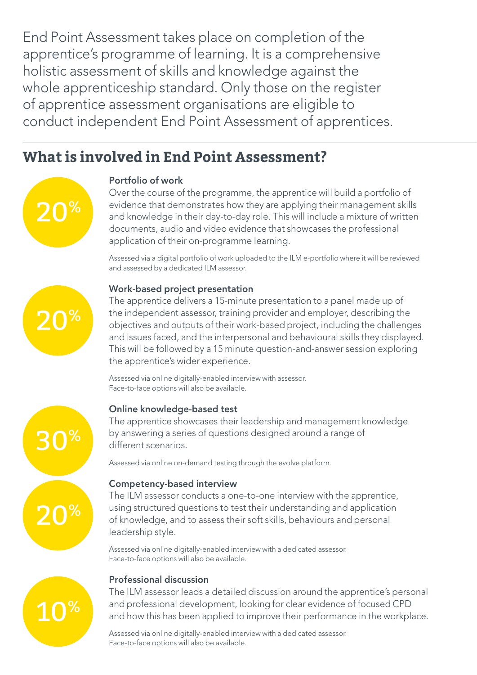End Point Assessment takes place on completion of the apprentice's programme of learning. It is a comprehensive holistic assessment of skills and knowledge against the whole apprenticeship standard. Only those on the register of apprentice assessment organisations are eligible to conduct independent End Point Assessment of apprentices.

# **What is involved in End Point Assessment?**



## Portfolio of work

 Over the course of the programme, the apprentice will build a portfolio of evidence that demonstrates how they are applying their management skills and knowledge in their day-to-day role. This will include a mixture of written documents, audio and video evidence that showcases the professional application of their on-programme learning.

 Assessed via a digital portfolio of work uploaded to the ILM e-portfolio where it will be reviewed and assessed by a dedicated ILM assessor.

# 20%

30%

20%

10%

Work-based project presentation

 The apprentice delivers a 15-minute presentation to a panel made up of the independent assessor, training provider and employer, describing the objectives and outputs of their work-based project, including the challenges and issues faced, and the interpersonal and behavioural skills they displayed. This will be followed by a 15 minute question-and-answer session exploring the apprentice's wider experience.

 Assessed via online digitally-enabled interview with assessor. Face-to-face options will also be available.

## Online knowledge-based test

 The apprentice showcases their leadership and management knowledge by answering a series of questions designed around a range of different scenarios.

Assessed via online on-demand testing through the evolve platform.

## Competency-based interview

 The ILM assessor conducts a one-to-one interview with the apprentice, using structured questions to test their understanding and application of knowledge, and to assess their soft skills, behaviours and personal leadership style.

 Assessed via online digitally-enabled interview with a dedicated assessor. Face-to-face options will also be available.

## Professional discussion

 The ILM assessor leads a detailed discussion around the apprentice's personal and professional development, looking for clear evidence of focused CPD and how this has been applied to improve their performance in the workplace.

 Assessed via online digitally-enabled interview with a dedicated assessor. Face-to-face options will also be available.